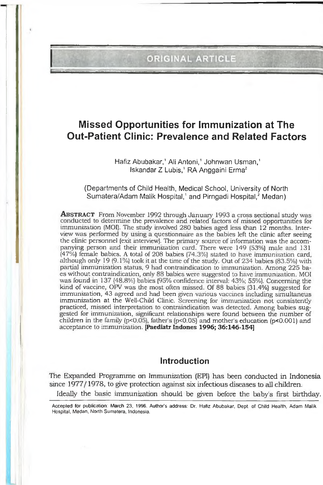# ORIGINAL ARTICLE

# **Missed Opportunities for Immunization at The Out-Patient Clinic: Prevalence and Related Factors**

Hafiz Abubakar,<sup>1</sup> Ali Antoni,<sup>1</sup> Johnwan Usman,<sup>1</sup> Iskandar Z Lubis,<sup>1</sup> RA Anggaini Erma<sup>2</sup>

(Departments of Child Health, Medical School, University of North Sumatera/Adam Malik Hospital,<sup>1</sup> and Pirngadi Hospital,<sup>2</sup> Medan)

**ABSTRACT** From November 1992 through January 1993 a cross sectional study was conducted to determine the prevalence and related factors of missed opportunities for immunization (MOI). The study involved 280 babies aged less than 12 months. Interview was performed by using a questionnaire as the babies left the clinic after seeing the clinic personnel (exit interview). The primary source of information was the accompanying person and their immunization card. There were 149 (53%) male and 131 (47%) female babies. A total of 208 babies (74.3%) stated to have immunization card, although only 19 (9.1°/.) look it at the time of the study. Out of 234 babies (83.5%) with partial immunization status, 9 had contraindication to immunization. Among 225 baes without contraindication, only 88 babies were suggested to have immunization. MOI was found in 137 (48.8%) babies (95% confidence interval: 43%; 55%). Concerning the kind of vaccine, OFV was the most often missed. Of 88 babies (31.4%) suggested for immunization, 43 agreed and had been given various vaccines including simultaneus immunization at the Well-Child Clinic. Screening for immunization not consistently practiced, missed interpretation to contraindication was detected. Among babies suggested for immunization, significant relationships were found between the number of children in the family  $(p<0.05)$ , father's  $(p<0.05)$  and mother's education  $(p<0.001)$  and acceptance to immunization. [Paediatr Indones 1996; 36:146-154]

# **Introduction**

The Expanded Programme on Immunization (EPI) has teen conducted in Indonesia since 1977/1978, to give protection against six infectious diseases to all children. Ideally the basic immunization should be given before the baby's first birthday.

Accepted for publication: March 23, 1996. Author's address: Dr. Hafiz Abubakar, Dept of Child Health, Adam Malik Hospital, Medan, North Sumatera, Indonesia.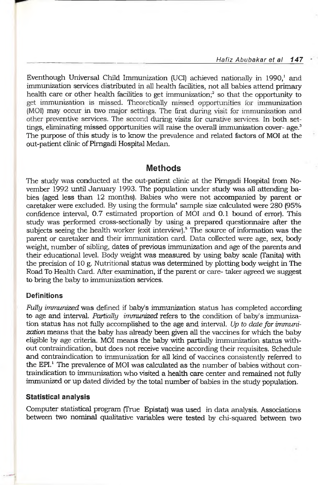Eventhough Universal Child Immunization (UCI) achieved nationally in 1990,<sup>1</sup> and immunization services distributed in all health facilities, not all babies attend primary health care or other health facilities to get immunization;<sup>2</sup> so that the opportunity to get immunization is missed. Theoretically missed opportunities for immunization (MOI) may occur in two major settings. The first during visit for immunization and other preventive services. The second during visits for curative services. In both settings, eliminating missed opportunities will raise the overall immunization cover- $a\alpha$ <sup>3</sup> The purpose of this study is to know the prevalence and related factors of MOI at the out-patient clinic of Pimgadi Hospital Medan.

# **Methods**

The study was conducted at the out-patient clinic at the Pimgadi Hospital from November 1992 until January 1993. The population under study was all attending babies (aged less than 12 months). Babies who were not accompanied by parent or caretaker were excluded. By using the formula<sup>4</sup> sample size calculated were 280 (95%) confidence interval, 0.7 estimated proportion of MOI and 0.1 bound of error). This study was performed cross-sectionally by using a prepared questionnaire after the subjects seeing the health worker (exit interview).5 The source of information was the parent or caretaker and their immunization card. Data collected were age, sex, body weight, number of sibling, dates of previous immunization and age of the parents and their educational level. Body weight was measured by using baby scale (Tanita) with the precision of 10 g. Nutritional status was determined by plotting body weight in The Road To Health Card. After examination, if the parent or care- taker agreed we suggest to bring the baby to immunization services.

## **Definitions**

*Fully immunized* was defined if baby's immunization status has completed according to age and interval. *Partially immunized* refers to the condition of baby's immunization status has not fully accomplished to the age and interval. *Up to date fo r immunization* means that the baby has already been given all the vaccines for which the baby eligible by age criteria. MOI means the baby with partially immunization status without contraindication, but does not receive vaccine according their requisites. Schedule and contraindication to immunization for all kind of vaccines consistently referred to the EPI.<sup>1</sup> The prevalence of MOI was calculated as the number of babies without contraindication to immunization who visited a health care center and remained not fully immunized or up dated divided by the total number of babies in the study population.

#### **Statistical analysis**

Computer statistical program (True Epistat) was used in data analysis. Associations between two nominal qualitative variables were tested by chi-squared between two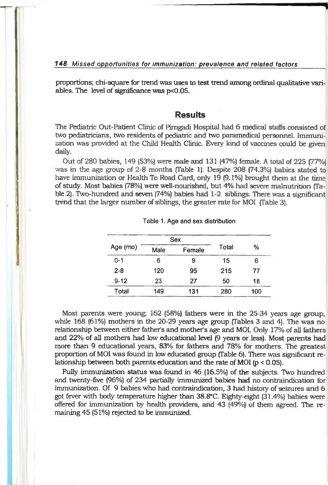#### *148 Missed opportunities for immunization: prevalence and related factors*

proportions; chi-square for trend was uses to test trend among ordinal qualitative variables. The level of significance was p<0.05.

### **Results**

The Pediatric Out-Patient Clinic of Pimgadi Hospital had 6 medical staffs consisted of two pediatricians, two residents of pediatric and two paramedical personnel. Immunization was provided at the Child Health Clinic. Every kind of vaccines could be given daily.

Out of 280 babies, 149 (53%) were male and 131 (47%) female. A total of 225 (77%) was in the age group of 2-8 months (Table 1). Despite 208 (74.3%) babies stated to have immunization or Health To Road Card, only 19 (9.1%) brought them at the time of study. Most babies (78%) were well-nourished, but 4% had severe malnutrition (Table 2). Two-hundred and seven (74%) babies had 1-2 siblings. There was a significant trend that the larger number of siblings, the greater rate for MOI (Table 3).

|          |      | Sex    |       | %   |  |
|----------|------|--------|-------|-----|--|
| Age (mo) | Male | Female | Total |     |  |
| $0 - 1$  | 6    | 9      | 15    | 6   |  |
| $2 - 8$  | 120  | 95     | 215   | 77  |  |
| $9 - 12$ | 23   | 27     | 50    | 18  |  |
| Total    | 149  | 131    | 280   | 100 |  |

#### **Table 1. Age and sex distribution**

Most parents were young, 162 (58%) fathers were in the 25-34 years age group, while 168 (61%) mothers in the 20-29 years age group (Tables 3 and 4). The was no relationship between either father's and mother's age and MOI. Only 17% of all fathers and 22% of all mothers had low educational level (9 years or less). Most parents had more than 9 educational years, 83% for fathers and 78% for mothers. The greatest proportion of MOI was found in low educated group (Table 6). There was significant relationship between both parents education and the rate of MOI (p < 0.05).

Fully immunization status was found in 46 (16.5%) of the subjects. Two hundred and twenty-five (96%) of 234 partially immunized babies had no contraindication for immunization. Of 9 babies who had contraindication, 3 had history of seizures and 6 got fever with body temperature higher than 38.8°C. Eighty-eight (31.4%) babies were offered for immunization by health providers, and 43 (49%) of them agreed. The remaining 45 (51%) rejected to be immunized.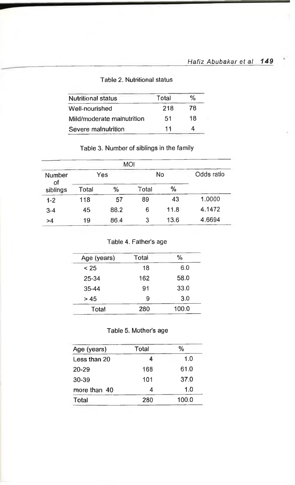## Table 2. Nutritional status

| <b>Nutritional status</b>  | Total | %  |
|----------------------------|-------|----|
| Well-nourished             | 218   | 78 |
| Mild/moderate malnutrition | 51    | 18 |
| Severe malnutrition        | 11    | 4  |

# Table 3. Number of siblings in the family

|              |       | <b>MOI</b> |       |      |            |
|--------------|-------|------------|-------|------|------------|
| Number<br>οf |       | Yes        |       | No   | Odds ratio |
| siblings     | Total | %          | Total | %    |            |
| $1-2$        | 118   | 57         | 89    | 43   | 1.0000     |
| $3 - 4$      | 45    | 88.2       | 6     | 11.8 | 4.1472     |
| >4           | 19    | 86.4       | 3     | 13.6 | 4.6694     |

# Table 4. Father's age

| Age (years) | Total | %     |
|-------------|-------|-------|
| < 25        | 18    | 6.0   |
| 25-34       | 162   | 58.0  |
| 35-44       | 91    | 33.0  |
| >45         | 9     | 3.0   |
| Total       | 280   | 100.0 |

# Table 5. Mother's age

| Total | %     |  |
|-------|-------|--|
|       | 1.0   |  |
| 168   | 61.0  |  |
| 101   | 37.0  |  |
|       | 1.0   |  |
| 280   | 100.0 |  |
|       |       |  |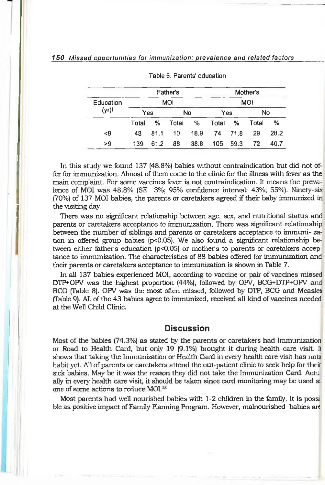### *1 SO Missed opportunities for immunization: prevalence and related factors*

|                   | Father's |      |            | Mother's |       |         |            |      |
|-------------------|----------|------|------------|----------|-------|---------|------------|------|
| Education<br>(yr) |          |      | <b>MOI</b> |          |       |         | <b>MOI</b> |      |
|                   | Yes      |      |            | No       | Yes   |         | No         |      |
|                   | Total    | %    | Total      | %        | Total | %       | Total      | $\%$ |
| <9                | 43       | 81.1 | 10         | 18.9     |       | 74 71.8 | 29         | 28.2 |
| >9                | 139      | 61.2 | 88         | 38.8     | 105   | 59.3    | 72         | 40.7 |

|  |  |  | Table 6. Parents' education |
|--|--|--|-----------------------------|
|--|--|--|-----------------------------|

In this study we found 137 (48.8%) babies without contraindication but did not offer for immunization. Almost of them come to the clinic for the illness with fever as the main complaint, For some vaccines fever is not contraindication. It means the prevalence of MOI was 48.8% (SE 3%; 95% confidence interval: 43%; 55%). Ninety-six (70%) of 137 MOI babies, the parents or caretakers agreed if their baby immunized in the visiting day.

There was no significant relationship between age, sex, and nutritional status and parents or caretakers acceptance to immunization. There was significant relationship between the number of siblings and parents or caretakers acceptance to immuni- zation in offered group babies (p<0.05). We also found a significant relationship between either father's education (p<0.05) or mother's to parents or caretakers acceptance to immunization. The characteristics of 88 babies offered for immunization and their parents or caretakers acceptance to immunization is shown in Table 7.

In all 137 babies experienced MOI, according to vaccine or pair of vaccines missed DTP+OFV was the highest proportion (44%), followed by OPV, BCG+DTP+OPV and BCG (Table 8). OPV was the most often missed, followed by DTP, BCG and Measles (Table 9). All of the 43 babies agree to immunized, received all kind of vaccines needed at the Well Child Clinic.

# **Discussion**

Most of the babies (74.3%) as stated by the parents or caretakers had Immunization or Road to Health Card, but only 19 (9.1%) brought it during health care visit. Il shows that taking the Immunization or Health Card in every health care visit has nota habit yet. All of parents or caretakers attend the out-patient clinic to seek help for their sick babies. May be it was the reason they did not take the Immunization Card. Actually in every health care visit, it should be taken since card monitoring may be used ai one of some actions to reduce MOI.<sup>3,6</sup>

Most parents had well-nourished babies with 1-2 children in the family. It is possible as positive impact of Family Planning Program. However, malnourished babies are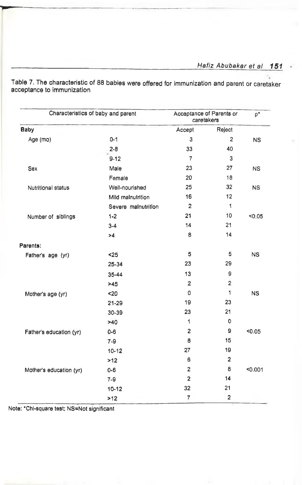Characteristics of baby and parent Acceptance of Parents or caretakers  $p^*$ Baby Accept Reject Age (mo) 0-1 3 2 NS 2-8 33 40 9-12 7 3 Sex Male 23 27 NS **Female** 20 18 Nutritional status Well-nourished 25 32 NS Mild malnutrition 16 12 Severe malnutrition 1 Number of siblings 1-2 21 21 10 <0,05 3-4 14 21 >4 8 14 Parents; Father's age (yr)  $\leq 25$  5 NS 25-34 23 29 35-44 13 9  $>45$  2 2 Mother's age (yr)  $\leq 20$  0 1 NS 21-29 19 23 30-39 23 21  $>40$  1 0 Father's education (yr) 0-6 2 9 <0.05 7-9 8 15 10-12 27 19  $>12$  6 2 Mother's education (yr) 0-6 2 8 <0.001 7-9 2 14 10-12 32 21  $>12$  7 2

**Table 7, The characteristic of 88 babies were offered for immunization and parent or caretaker acceptance to immunization**

Note: \*Chl-square test; NS=Not significant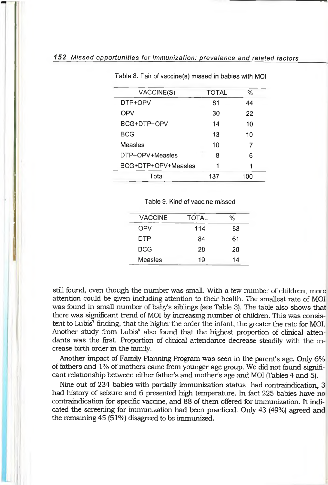| VACCINE(S)          | TOTAL | %   |  |
|---------------------|-------|-----|--|
| DTP+OPV             | 61    | 44  |  |
| OPV                 | 30    | 22  |  |
| BCG+DTP+OPV         | 14    | 10  |  |
| BCG                 | 13    | 10  |  |
| Measles             | 10    | 7   |  |
| DTP+OPV+Measles     | 8     | 6   |  |
| BCG+DTP+OPV+Measles | 1     |     |  |
| Total               | 137   | 100 |  |
|                     |       |     |  |

Table 8. Pair of vaccine(s) missed in babies with MOI

Table 9. Kind of vaccine missed

| <b>VACCINE</b> | TOTAL | %  |
|----------------|-------|----|
| OPV            | 114   | 83 |
| <b>DTP</b>     | 84    | 61 |
| <b>BCG</b>     | 28    | 20 |
| Measles        | 19    | 14 |
|                |       |    |

still found, even though the number was small. With a few number of children, more attention could be given including attention to their health. The smallest rate of MOI was found in small number of baby's siblings (see Table 3). The table also shows that there was significant trend of MOI by increasing number of children. This was consistent to Lubis<sup>7</sup> finding, that the higher the order the infant, the greater the rate for MOI. Another study from Lubis<sup>8</sup> also found that the highest proportion of clinical attendants was the first. Proportion of clinical attendance decrease steadily with the increase birth order in the family.

Another impact of Family Planning Program was seen in the parent's age. Only 6% of fathers and 1% of mothers came from younger age group. We did not found significant relationship between either father's and mother's age and MOI (Tables 4 and 5).

Nine out of 234 babies with partially immunization status had contraindication, 3 had history of seizure and 6 presented high temperature. In fact 225 babies have no contraindication for specific vaccine, and 88 of them offered for immunization. It indicated the screening for immunization had been practiced. Only 43 (49%) agreed and the remaining 45 (51%) disagreed to be immunized.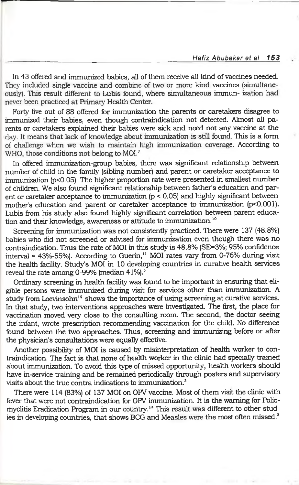In 43 offered and immunized babies, all of them receive all kind of vaccines needed. They included single vaccine and combine of two or more kind vaccines (simultaneously). This result different to Lubis found, where simultaneous immun- ization had never been practiced at Primary Health Center.

Forty five out of 88 offered for immunization the parents or caretakers disagree to immunized their babies, even though contraindication not detected. Almost all parents or caretakers explained their babies were sick and need not any vaccine at the day. It means that lack of knowledge about immunization is still found. This is a form of challenge when we wish to maintain high immunization coverage. According to WHO, those conditions not belong to MOI.<sup>9</sup>

In offered immunization-group babies, there was significant relationship between number of child in the family (sibling number) and parent or caretaker acceptance to immunization (p<0.05). The higher proportion rate were presented in smallest number of children. We also found significant relationship between father's education and parent or caretaker acceptance to immunization (p < 0.05) and highly significant between mother's education and parent or caretaker acceptance to immunization (p<0.001). Lubis from his study also found highly significant correlation between parent education and their knowledge, awareness or attitude to immunization.<sup>10</sup>

Screening for immunization was not consistently practiced. There were 137 (48.8%) babies who did not screened or advised for immunization even though there was no contraindication. Thus the rate of MOI in this study is 48.8% (SE=3%; 95% confidence interval =  $43\%$ -55%). According to Guerin,<sup>11</sup> MOI rates vary from 0-76% during visit the health facility. Study's MOI in 10 developing countries in curative health services reveal the rate among 0-99% (median 41%).<sup>3</sup>

Ordinary screening in health facility was found to be important in ensuring that eligible persons were immunized during visit for services other than immunization. A study from Loevinsohn $12$  shows the importance of using screening at curative services. In that study, two interventions approaches were investigated. The first, the place for vaccination moved very close to the consulting room. The second, the doctor seeing the infant, wrote prescription recommending vaccination for the child. No difference found between the two approaches. Thus, screening and immunizing before or after the physician's consultations were equally effective.

Another possibility of MOI is caused by misinterpretation of health worker to contraindication. The fact is that none of health worker in the clinic had specially trained about immunization. To avoid this type of missed opportunity, health workers should have in-service training and be remained periodically through posters and supervisory visits about the true contra indications to immunization.<sup>3</sup>

There were 114 (83%) of 137 MOI on OPV vaccine. Most of them visit the clinic with fever that were not contraindication for OPV immunization. It is the warning for Poliomyelitis Eradication Program in our country.13 This result was different to other studies in developing countries, that shows BCG and Measles were the most often missed.<sup>3</sup>